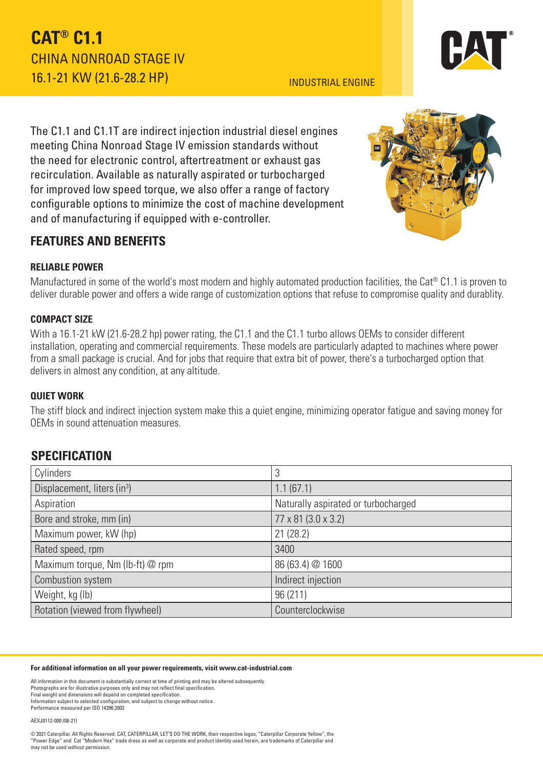## **CAT® C1.1** CHINA NONROAD STAGE IV 16.1-21 KW (21.6-28.2 HP)

#### INDUSTRIAL ENGINE

The C1.1 and C1.1T are indirect injection industrial diesel engines meeting China Nonroad Stage IV emission standards without the need for electronic control, aftertreatment or exhaust gas recirculation. Available as naturally aspirated or turbocharged for improved low speed torque, we also offer a range of factory configurable options to minimize the cost of machine development and of manufacturing if equipped with e-controller.

## **FEATURES AND BENEFITS**

### **RELIABLE POWER**

Manufactured in some of the world's most modern and highly automated production facilities, the Cat® C1.1 is proven to deliver durable power and offers a wide range of customization options that refuse to compromise quality and durablity.

#### **COMPACT SIZE**

With a 16.1-21 kW (21.6-28.2 hp) power rating, the C1.1 and the C1.1 turbo allows OEMs to consider different installation, operating and commercial requirements. These models are particularly adapted to machines where power from a small package is crucial. And for jobs that require that extra bit of power, there's a turbocharged option that delivers in almost any condition, at any altitude.

#### **QUIET WORK**

The stiff block and indirect injection system make this a quiet engine, minimizing operator fatigue and saving money for OEMs in sound attenuation measures.

## **SPECIFICATION**

| Cylinders                               | 3                                   |  |
|-----------------------------------------|-------------------------------------|--|
| Displacement, liters (in <sup>3</sup> ) | 1.1(67.1)                           |  |
| Aspiration                              | Naturally aspirated or turbocharged |  |
| Bore and stroke, mm (in)                | 77 x 81 (3.0 x 3.2)                 |  |
| Maximum power, kW (hp)                  | 21(28.2)                            |  |
| Rated speed, rpm                        | 3400                                |  |
| Maximum torque, Nm (lb-ft) @ rpm        | 86 (63.4) @ 1600                    |  |
| Combustion system                       | Indirect injection                  |  |
| Weight, kg (lb)                         | 96 (211)                            |  |
| Rotation (viewed from flywheel)         | Counterclockwise                    |  |

#### **For additional information on all your power requirements, visit www.cat-industrial.com**

All information in this document is substantially correct at time of printing and may be altered subsequently. Photographs are for illustrative purposes only and may not reflect final specification. Final weight and dimensions will depend on completed specification. Information subject to selected configuration, and subject to change without notice. Performance measured per ISO 14396:2002

AEXJ0112-000 (08-21)

© 2021 Caterpillar. All Rights Reserved. CAT, CATERPILLAR, LET'S DO THE WORK, their respective logos, "Caterpillar Corporate Yellow", the "Power Edge" and Cat "Modern Hex" trade dress as well as corporate and product identity used herein, are trademarks of Caterpillar and may not be used without permission.